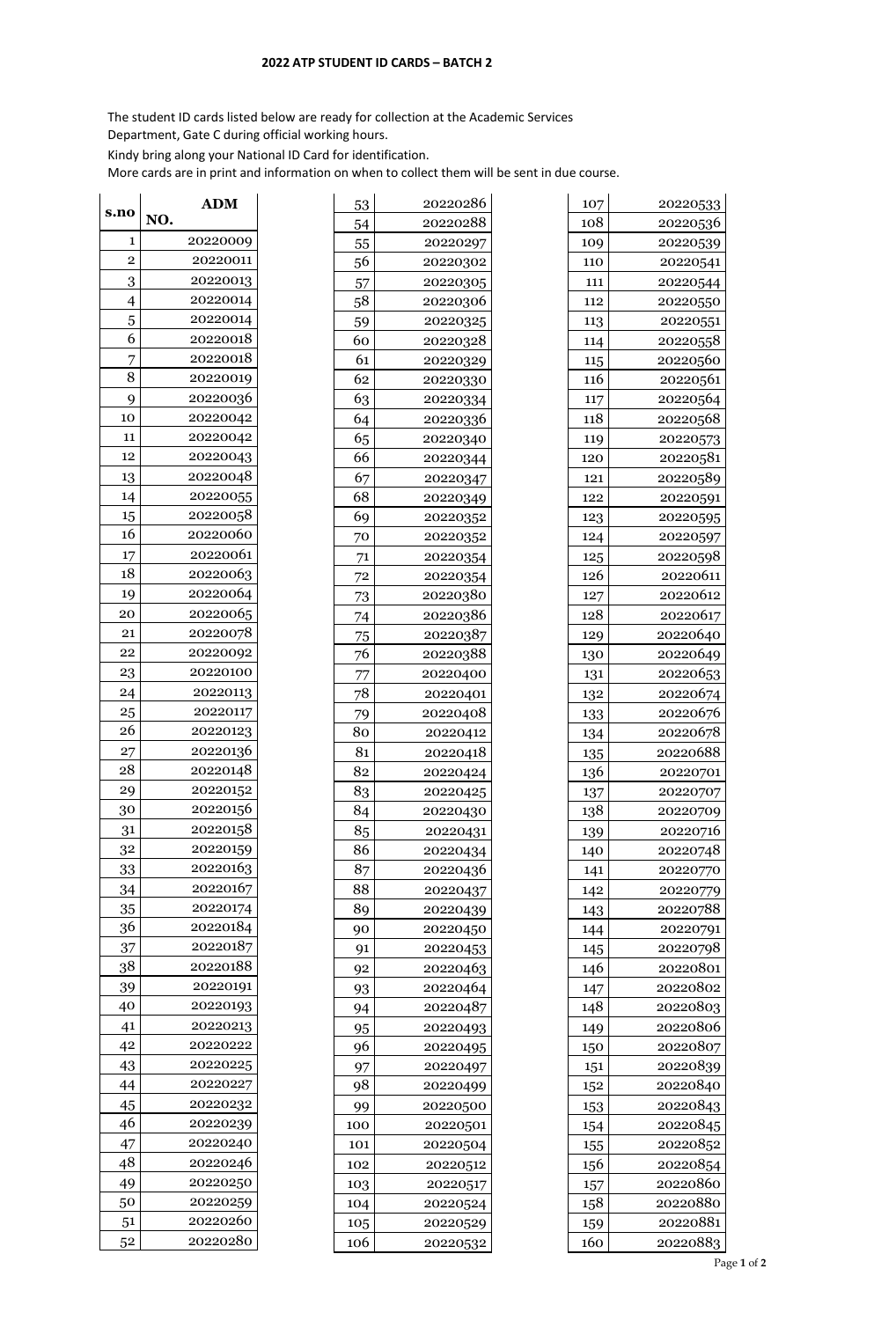## **ATP STUDENT ID CARDS – BATCH 2**

The student ID cards listed below are ready for collection at the Academic Services

Department, Gate C during official working hours.

Kindy bring along your National ID Card for identification.

More cards are in print and information on when to collect them will be sent in due course.

| s.no           | NO. | <b>ADM</b> |
|----------------|-----|------------|
| 1              |     | 20220009   |
| $\overline{2}$ |     | 20220011   |
| 3              |     | 20220013   |
| 4              |     | 20220014   |
| 5              |     | 20220014   |
| 6              |     | 20220018   |
| 7              |     | 20220018   |
| 8              |     | 20220019   |
| 9              |     | 20220036   |
| 10             |     | 20220042   |
| 11             |     | 20220042   |
| 12             |     | 20220043   |
| 13             |     | 20220048   |
| 14             |     | 20220055   |
| 15             |     | 20220058   |
| 16             |     | 20220060   |
| 17             |     | 20220061   |
| 18             |     | 20220063   |
| 19             |     | 20220064   |
| 20             |     | 20220065   |
| 21             |     | 20220078   |
| 22             |     | 20220092   |
| 23             |     | 20220100   |
| 24             |     | 20220113   |
| 25             |     | 20220117   |
| 26             |     | 20220123   |
| 27             |     | 20220136   |
| 28             |     | 20220148   |
| 29             |     | 20220152   |
| 30             |     | 20220156   |
| 31             |     | 20220158   |
| 32             |     | 20220159   |
| 33             |     | 20220163   |
| 34             |     | 20220167   |
| 35             |     | 20220174   |
| 36             |     | 20220184   |
| 37             |     | 20220187   |
| 38             |     | 20220188   |
| 39             |     | 20220191   |
| 40             |     | 20220193   |
| 41             |     | 20220213   |
| 42             |     | 20220222   |
| 43             |     | 20220225   |
| 44             |     | 20220227   |
| 45             |     | 20220232   |
| 46             |     | 20220239   |
| 47             |     | 20220240   |
| 48             |     | 20220246   |
| 49             |     | 20220250   |
| 50             |     | 20220259   |
| 51             |     | 20220260   |
| 52             |     | 20220280   |
|                |     |            |

| 107        | 20220533 |
|------------|----------|
| 108        | 20220536 |
| 109        | 20220539 |
| 110        | 20220541 |
| 111        | 20220544 |
| 112        | 20220550 |
|            |          |
| 113        | 20220551 |
| 114        | 20220558 |
| 115<br>116 | 20220560 |
|            | 20220561 |
| 117        | 20220564 |
| 118        | 20220568 |
| 119        | 20220573 |
| 120        | 20220581 |
| 121        | 20220589 |
| 122        | 20220591 |
| 123        | 20220595 |
| 124        | 20220597 |
| 125        | 20220598 |
| 126        | 20220611 |
| 127        | 20220612 |
| 128        | 20220617 |
| 129        | 20220640 |
| 130        | 20220649 |
| 131        | 20220653 |
| 132        | 20220674 |
| 133        | 20220676 |
| 134        | 20220678 |
| 135        | 20220688 |
| 136        | 20220701 |
| 137        | 20220707 |
| 138        | 20220709 |
| 139        | 20220716 |
| 140        | 20220748 |
| 141        | 20220770 |
| 142        | 20220779 |
| 143        | 20220788 |
| 144        | 20220791 |
| 145        | 20220798 |
| 146        | 20220801 |
| 147        | 20220802 |
| 148        | 20220803 |
|            | 20220806 |
| 149        |          |
| 150        | 20220807 |
| 151        | 20220839 |
| 152        | 20220840 |
| 153        | 20220843 |
| 154        | 20220845 |
| 155        | 20220852 |
| 156        | 20220854 |
| 157        | 20220860 |
| 158        | 20220880 |
| 159        | 20220881 |
| 160        | 20220883 |

Page **1** of **2**

| 53             | 20220286 |
|----------------|----------|
| 54             | 20220288 |
| 55             | 20220297 |
| 56             | 20220302 |
| 57             | 20220305 |
| 58             | 20220306 |
| 59             | 20220325 |
| 60             | 20220328 |
| 61             | 20220329 |
| 62             | 20220330 |
| 63             | 20220334 |
| 64             | 20220336 |
| 65             | 20220340 |
| 66             | 20220344 |
| 67             | 20220347 |
| 68             | 20220349 |
| 69             | 20220352 |
| 70             | 20220352 |
| 71             | 20220354 |
| 72             | 20220354 |
|                | 20220380 |
| 73             | 20220386 |
| 74             |          |
| $\frac{75}{2}$ | 20220387 |
| 76             | 20220388 |
| 77             | 20220400 |
| 78             | 20220401 |
| 79             | 20220408 |
| 80             | 20220412 |
| 81             | 20220418 |
| 82             | 20220424 |
| 83             | 20220425 |
| 84             | 20220430 |
| 85             | 20220431 |
| 86             | 20220434 |
| 87             | 20220436 |
| 88             | 20220437 |
| 89             | 20220439 |
| 90             | 20220450 |
| 91             | 20220453 |
| 92             | 20220463 |
| 93             | 20220464 |
| 94             | 20220487 |
| 95             | 20220493 |
| 96             | 20220495 |
| 97             | 20220497 |
| 98             | 20220499 |
| 99             | 20220500 |
| 100            | 20220501 |
| 101            | 20220504 |
| 102            | 20220512 |
| 103            | 20220517 |
| 104            | 20220524 |
| 105            | 20220529 |
| 106            | 20220532 |
|                |          |